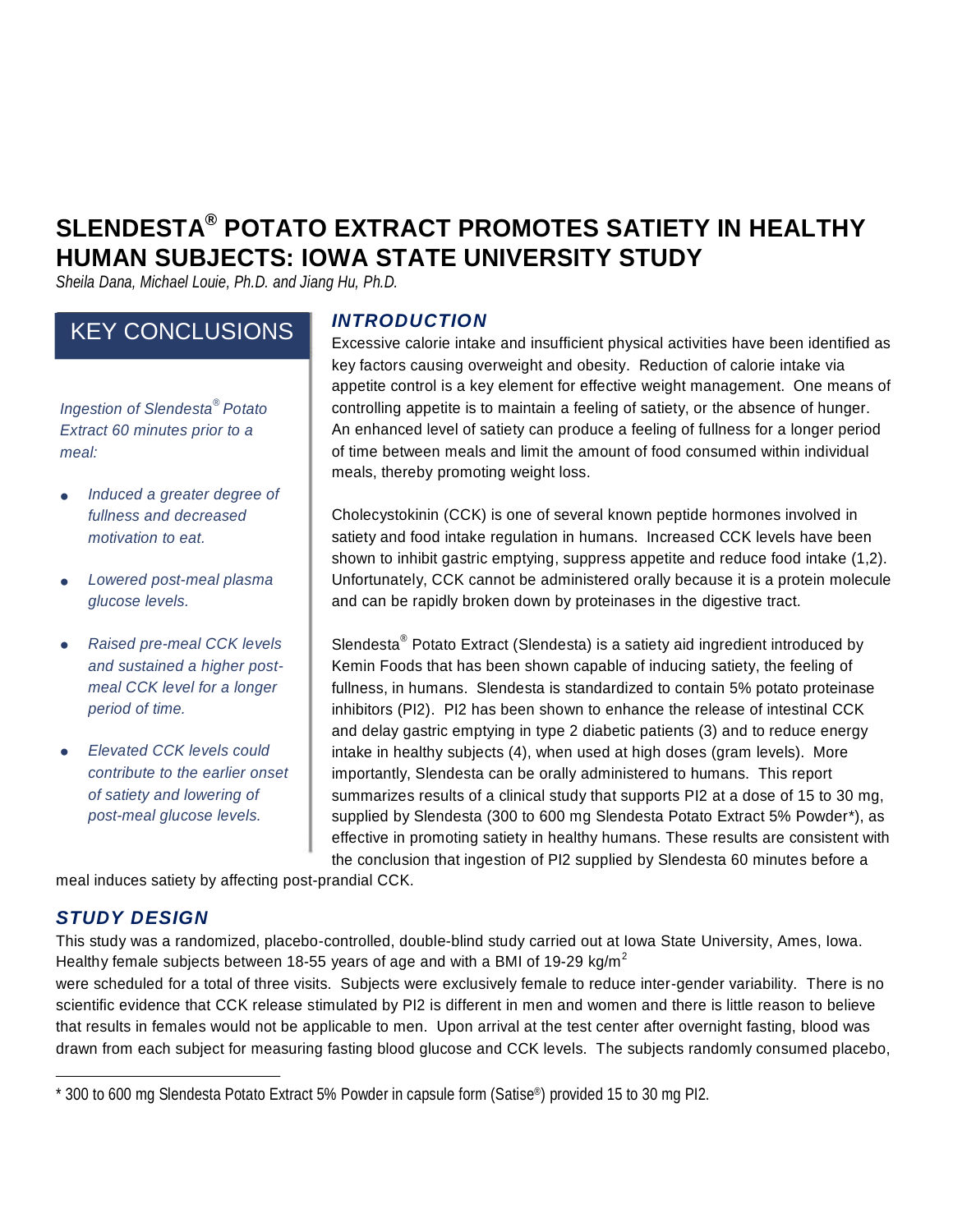# **SLENDESTA ® POTATO EXTRACT PROMOTES SATIETY IN HEALTHY HUMAN SUBJECTS: IOWA STATE UNIVERSITY STUDY**

*Sheila Dana, Michael Louie, Ph.D. and Jiang Hu, Ph.D.*

# KEY CONCLUSIONS

*Ingestion of Slendesta*

- *Induced a greater degree of*
- 
- $Raised$  *pre-meal CCK levels*
- 

### *INTRODUCTION*

Excessive calorie intake and insufficient physical activities have been identified as key factors causing overweight and obesity. Reduction of calorie intake via appetite control is a key element for effective weight management. One means of meals, thereby promoting weight loss. controlling appetite is to maintain a feeling of satiety, or the absence of hunger. *Extract* 60 *minutes prior to a* An enhanced level of satiety can produce a feeling of fullness for a longer period *meal:* of time between meals and limit the amount of food consumed within individual

shown to inhibit gastric emptying, suppress appetite and reduce food intake (1,2). *fullness and decreased* Cholecystokinin (CCK) is one of several known peptide hormones involved in *motivation* to eat. **Solution satiety and food intake regulation in humans. Increased CCK levels have been**  *Lowered post-meal plasma* Unfortunately, CCK cannot be administered orally because it is a protein molecule *glucose levels.* and can be rapidly broken down by proteinases in the digestive tract.

and delay gastric emptying in type 2 diabetic patients (3) and to reduce energy effective in promoting satiety in healthy humans. These results are consistent with the conclusion that ingestion of PI2 supplied by Slendesta 60 minutes before a Slendesta<sup>®</sup> Potato Extract (Slendesta) is a satiety aid ingredient introduced by *and sustained a higher post-* Kemin Foods that has been shown capable of inducing satiety, the feeling of *meal CCK level for a longer* fullness, in humans. Slendesta is standardized to contain 5% potato proteinase **period** of time. **inhibitors** (PI2). PI2 has been shown to enhance the release of intestinal CCK *Elevated CCK levels could* intake in healthy subjects (4), when used at high doses (gram levels). More *contribute to the earlier onset* importantly, Slendesta can be orally administered to humans. This report *of satiety and lowering of* summarizes results of a clinical study that supports PI2 at a dose of 15 to 30 mg, *post-meal glucose levels.* supplied by Slendesta (300 to 600 mg Slendesta Potato Extract 5% Powder\*), as

meal induces satiety by affecting post-prandial CCK.

# *STUDY DESIGN*

This study was a randomized, placebo-controlled, double-blind study carried out at Iowa State University, Ames, Iowa. Healthy female subjects between 18-55 years of age and with a BMI of 19-29 kg/m<sup>2</sup>

were scheduled for a total of three visits. Subjects were exclusively female to reduce inter-gender variability. There is no scientific evidence that CCK release stimulated by PI2 is different in men and women and there is little reason to believe that results in females would not be applicable to men. Upon arrival at the test center after overnight fasting, blood was drawn from each subject for measuring fasting blood glucose and CCK levels. The subjects randomly consumed placebo,

<sup>\*</sup> 300 to 600 mg Slendesta Potato Extract 5% Powder in capsule form (Satise ®) provided 15 to 30 mg PI2.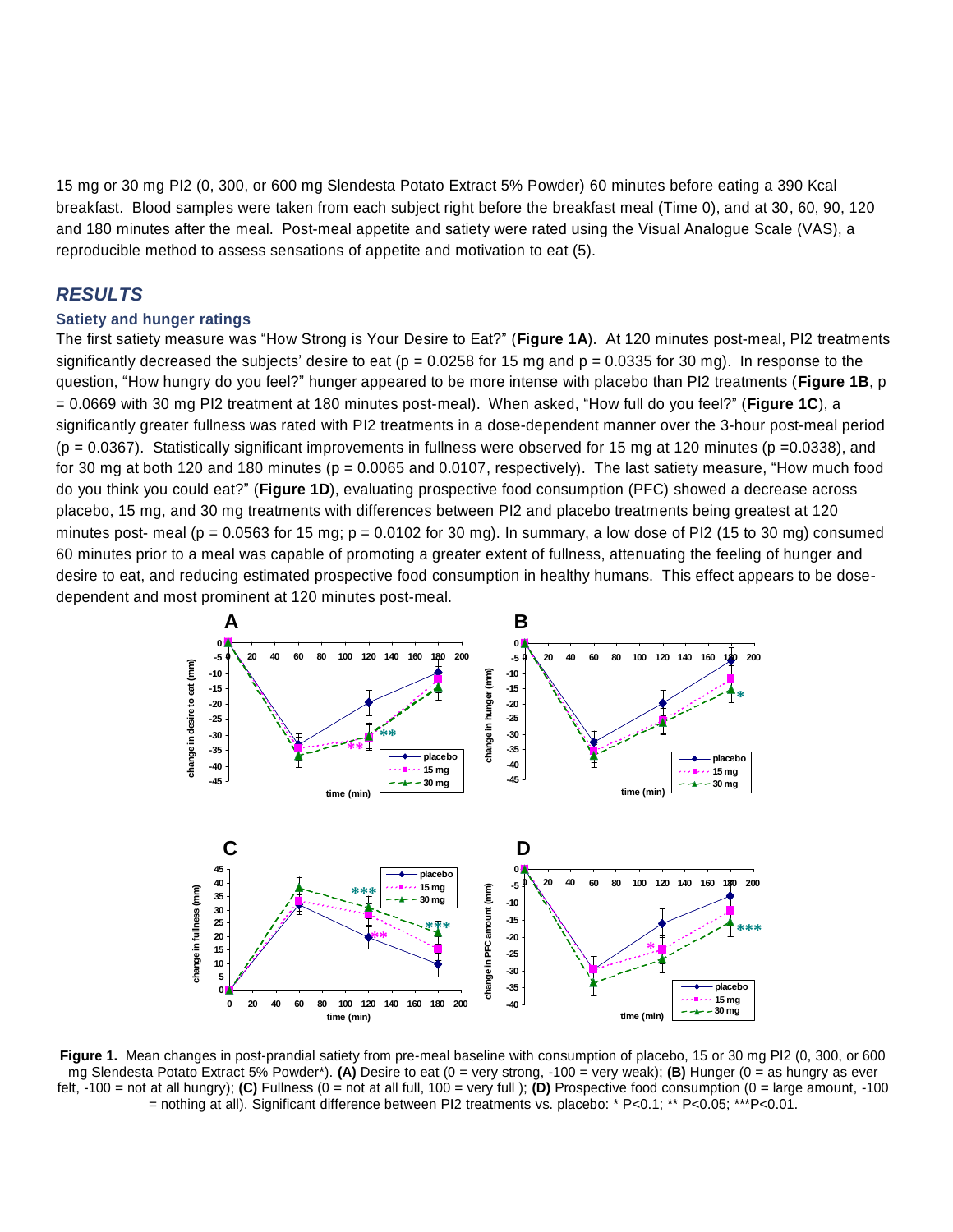15 mg or 30 mg PI2 (0, 300, or 600 mg Slendesta Potato Extract 5% Powder) 60 minutes before eating a 390 Kcal breakfast. Blood samples were taken from each subject right before the breakfast meal (Time 0), and at 30, 60, 90, 120 and 180 minutes after the meal. Post-meal appetite and satiety were rated using the Visual Analogue Scale (VAS), a reproducible method to assess sensations of appetite and motivation to eat (5).

#### *RESULTS*

#### **Satiety and hunger ratings**

The first satiety measure was "How Strong is Your Desire to Eat?" (**Figure 1A**). At 120 minutes post-meal, PI2 treatments significantly decreased the subjects' desire to eat ( $p = 0.0258$  for 15 mg and  $p = 0.0335$  for 30 mg). In response to the question, "How hungry do you feel?" hunger appeared to be more intense with placebo than PI2 treatments (**Figure 1B**, p = 0.0669 with 30 mg PI2 treatment at 180 minutes post-meal). When asked, "How full do you feel?" (**Figure 1C**), a significantly greater fullness was rated with PI2 treatments in a dose-dependent manner over the 3-hour post-meal period  $(p = 0.0367)$ . Statistically significant improvements in fullness were observed for 15 mg at 120 minutes (p = 0.0338), and for 30 mg at both 120 and 180 minutes ( $p = 0.0065$  and 0.0107, respectively). The last satiety measure, "How much food do you think you could eat?" (**Figure 1D**), evaluating prospective food consumption (PFC) showed a decrease across placebo, 15 mg, and 30 mg treatments with differences between PI2 and placebo treatments being greatest at 120 minutes post- meal ( $p = 0.0563$  for 15 mg;  $p = 0.0102$  for 30 mg). In summary, a low dose of PI2 (15 to 30 mg) consumed 60 minutes prior to a meal was capable of promoting a greater extent of fullness, attenuating the feeling of hunger and desire to eat, and reducing estimated prospective food consumption in healthy humans. This effect appears to be dosedependent and most prominent at 120 minutes post-meal.



**Figure 1.** Mean changes in post-prandial satiety from pre-meal baseline with consumption of placebo, 15 or 30 mg PI2 (0, 300, or 600 mg Slendesta Potato Extract 5% Powder\*). **(A)** Desire to eat (0 = very strong, -100 = very weak); **(B)** Hunger (0 = as hungry as ever felt, -100 = not at all hungry); **(C)** Fullness (0 = not at all full, 100 = very full ); **(D)** Prospective food consumption (0 = large amount, -100 = nothing at all). Significant difference between PI2 treatments vs. placebo: \* P<0.1; \*\* P<0.05; \*\*\*P<0.01.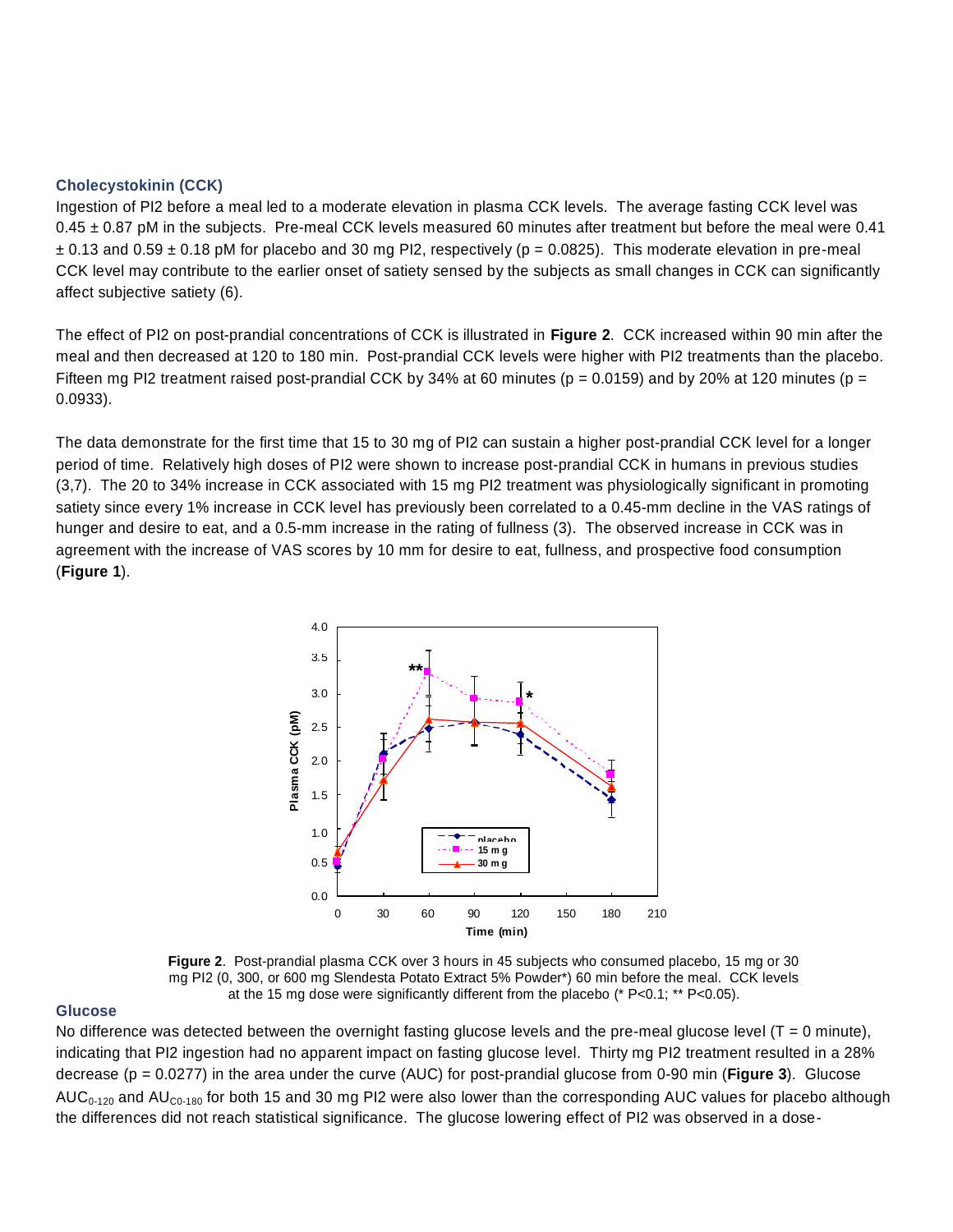#### **Cholecystokinin (CCK)**

Ingestion of PI2 before a meal led to a moderate elevation in plasma CCK levels. The average fasting CCK level was  $0.45 \pm 0.87$  pM in the subjects. Pre-meal CCK levels measured 60 minutes after treatment but before the meal were 0.41  $\pm$  0.13 and 0.59  $\pm$  0.18 pM for placebo and 30 mg PI2, respectively (p = 0.0825). This moderate elevation in pre-meal CCK level may contribute to the earlier onset of satiety sensed by the subjects as small changes in CCK can significantly affect subjective satiety (6).

The effect of PI2 on post-prandial concentrations of CCK is illustrated in **Figure 2**. CCK increased within 90 min after the meal and then decreased at 120 to 180 min. Post-prandial CCK levels were higher with PI2 treatments than the placebo. Fifteen mg PI2 treatment raised post-prandial CCK by 34% at 60 minutes ( $p = 0.0159$ ) and by 20% at 120 minutes ( $p =$ 0.0933).

The data demonstrate for the first time that 15 to 30 mg of PI2 can sustain a higher post-prandial CCK level for a longer period of time. Relatively high doses of PI2 were shown to increase post-prandial CCK in humans in previous studies (3,7). The 20 to 34% increase in CCK associated with 15 mg PI2 treatment was physiologically significant in promoting satiety since every 1% increase in CCK level has previously been correlated to a 0.45-mm decline in the VAS ratings of hunger and desire to eat, and a 0.5-mm increase in the rating of fullness (3). The observed increase in CCK was in agreement with the increase of VAS scores by 10 mm for desire to eat, fullness, and prospective food consumption (**Figure 1**).



**Figure 2**. Post-prandial plasma CCK over 3 hours in 45 subjects who consumed placebo, 15 mg or 30 mg PI2 (0, 300, or 600 mg Slendesta Potato Extract 5% Powder\*) 60 min before the meal. CCK levels at the 15 mg dose were significantly different from the placebo (\* P<0.1; \*\* P<0.05).

#### **Glucose**

No difference was detected between the overnight fasting glucose levels and the pre-meal glucose level ( $T = 0$  minute), indicating that PI2 ingestion had no apparent impact on fasting glucose level. Thirty mg PI2 treatment resulted in a 28% decrease (p = 0.0277) in the area under the curve (AUC) for post-prandial glucose from 0-90 min (**Figure 3**). Glucose AUC<sub>0-120</sub> and AU<sub>C0-180</sub> for both 15 and 30 mg PI2 were also lower than the corresponding AUC values for placebo although the differences did not reach statistical significance. The glucose lowering effect of PI2 was observed in a dose